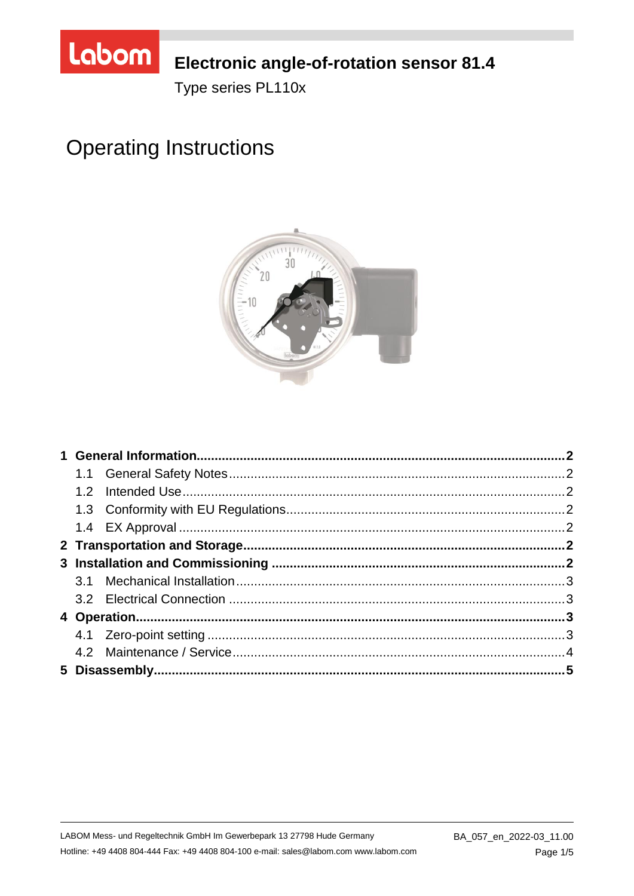

# Electronic angle-of-rotation sensor 81.4

Type series PL110x

# **Operating Instructions**

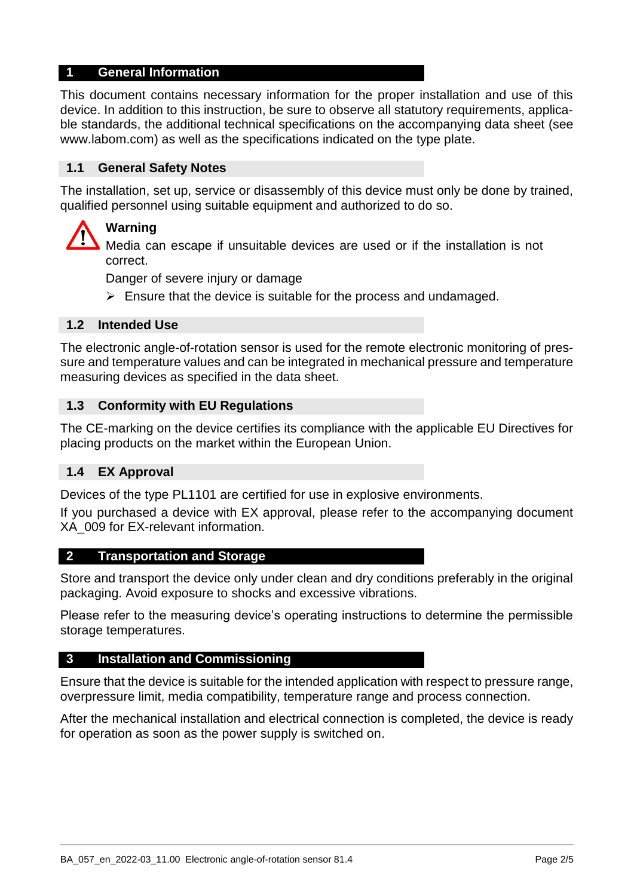#### **1 General Information**

This document contains necessary information for the proper installation and use of this device. In addition to this instruction, be sure to observe all statutory requirements, applicable standards, the additional technical specifications on the accompanying data sheet (see www.labom.com) as well as the specifications indicated on the type plate.

#### **1.1 General Safety Notes**

The installation, set up, service or disassembly of this device must only be done by trained, qualified personnel using suitable equipment and authorized to do so.

## **Warning**

Media can escape if unsuitable devices are used or if the installation is not correct.

Danger of severe injury or damage

 $\triangleright$  Ensure that the device is suitable for the process and undamaged.

#### **1.2 Intended Use**

The electronic angle-of-rotation sensor is used for the remote electronic monitoring of pressure and temperature values and can be integrated in mechanical pressure and temperature measuring devices as specified in the data sheet.

#### **1.3 Conformity with EU Regulations**

The CE-marking on the device certifies its compliance with the applicable EU Directives for placing products on the market within the European Union.

#### **1.4 EX Approval**

Devices of the type PL1101 are certified for use in explosive environments.

If you purchased a device with EX approval, please refer to the accompanying document XA\_009 for EX-relevant information.

#### **2 Transportation and Storage**

Store and transport the device only under clean and dry conditions preferably in the original packaging. Avoid exposure to shocks and excessive vibrations.

Please refer to the measuring device's operating instructions to determine the permissible storage temperatures.

#### **3 Installation and Commissioning**

Ensure that the device is suitable for the intended application with respect to pressure range, overpressure limit, media compatibility, temperature range and process connection.

After the mechanical installation and electrical connection is completed, the device is ready for operation as soon as the power supply is switched on.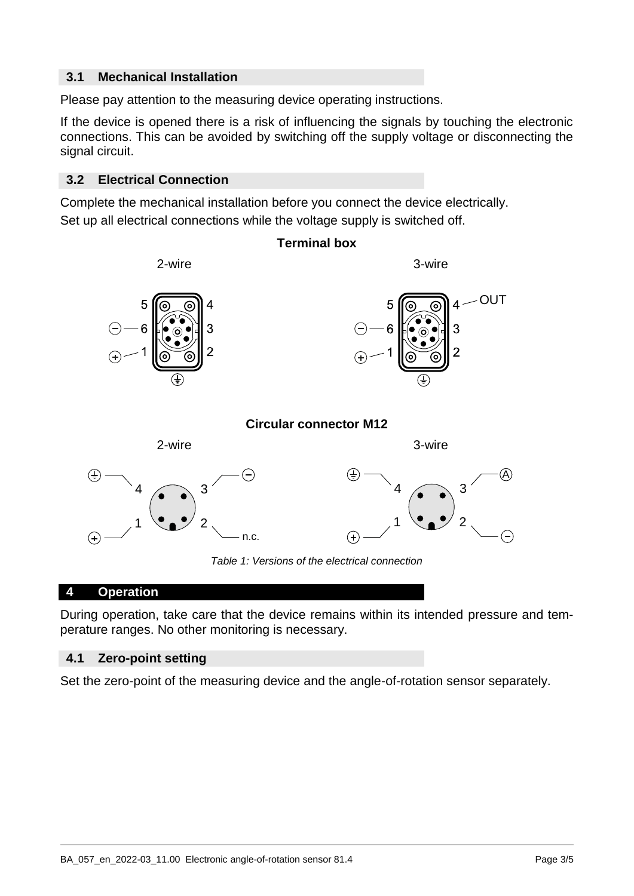#### **3.1 Mechanical Installation**

Please pay attention to the measuring device operating instructions.

If the device is opened there is a risk of influencing the signals by touching the electronic connections. This can be avoided by switching off the supply voltage or disconnecting the signal circuit.

#### **3.2 Electrical Connection**

Complete the mechanical installation before you connect the device electrically. Set up all electrical connections while the voltage supply is switched off.



#### **4 Operation**

During operation, take care that the device remains within its intended pressure and temperature ranges. No other monitoring is necessary.

#### **4.1 Zero-point setting**

Set the zero-point of the measuring device and the angle-of-rotation sensor separately.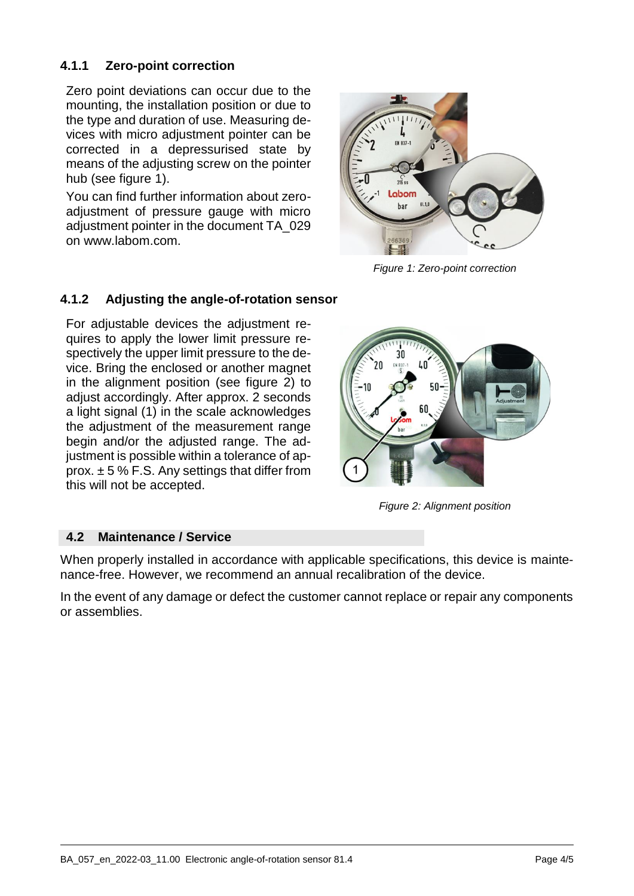#### **4.1.1 Zero-point correction**

Zero point deviations can occur due to the mounting, the installation position or due to the type and duration of use. Measuring devices with micro adjustment pointer can be corrected in a depressurised state by means of the adjusting screw on the pointer hub (see figure [1\)](#page-3-0).

You can find further information about zeroadjustment of pressure gauge with micro adjustment pointer in the document TA\_029 on www.labom.com.

<span id="page-3-0"></span>

*Figure 1: Zero-point correction*

#### **4.1.2 Adjusting the angle-of-rotation sensor**

For adjustable devices the adjustment requires to apply the lower limit pressure respectively the upper limit pressure to the device. Bring the enclosed or another magnet in the alignment position (see figure 2) to adjust accordingly. After approx. 2 seconds a light signal (1) in the scale acknowledges the adjustment of the measurement range begin and/or the adjusted range. The adjustment is possible within a tolerance of approx.  $\pm$  5 % F.S. Any settings that differ from this will not be accepted.



*Figure 2: Alignment position*

#### **4.2 Maintenance / Service**

When properly installed in accordance with applicable specifications, this device is maintenance-free. However, we recommend an annual recalibration of the device.

In the event of any damage or defect the customer cannot replace or repair any components or assemblies.